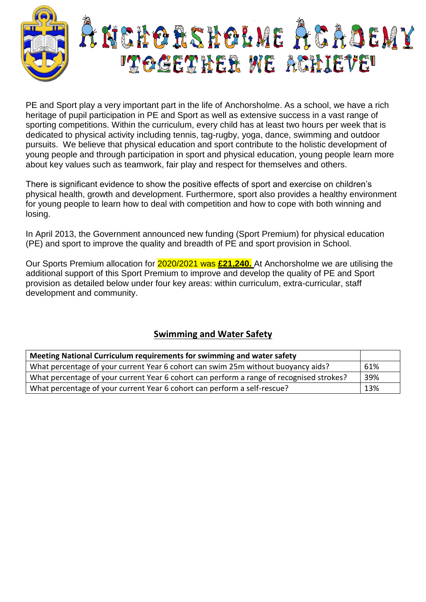

PE and Sport play a very important part in the life of Anchorsholme. As a school, we have a rich heritage of pupil participation in PE and Sport as well as extensive success in a vast range of sporting competitions. Within the curriculum, every child has at least two hours per week that is dedicated to physical activity including tennis, tag-rugby, yoga, dance, swimming and outdoor pursuits. We believe that physical education and sport contribute to the holistic development of young people and through participation in sport and physical education, young people learn more about key values such as teamwork, fair play and respect for themselves and others.

There is significant evidence to show the positive effects of sport and exercise on children's physical health, growth and development. Furthermore, sport also provides a healthy environment for young people to learn how to deal with competition and how to cope with both winning and losing.

In April 2013, the Government announced new funding (Sport Premium) for physical education (PE) and sport to improve the quality and breadth of PE and sport provision in School.

Our Sports Premium allocation for 2020/2021 was **£21,240.** At Anchorsholme we are utilising the additional support of this Sport Premium to improve and develop the quality of PE and Sport provision as detailed below under four key areas: within curriculum, extra-curricular, staff development and community.

## **Swimming and Water Safety**

| Meeting National Curriculum requirements for swimming and water safety                   |     |
|------------------------------------------------------------------------------------------|-----|
| What percentage of your current Year 6 cohort can swim 25m without buoyancy aids?        | 61% |
| What percentage of your current Year 6 cohort can perform a range of recognised strokes? | 39% |
| What percentage of your current Year 6 cohort can perform a self-rescue?                 | 13% |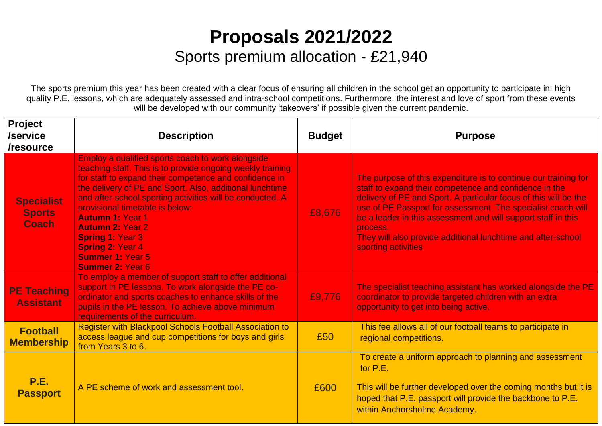## **Proposals 2021/2022** Sports premium allocation - £21,940

The sports premium this year has been created with a clear focus of ensuring all children in the school get an opportunity to participate in: high quality P.E. lessons, which are adequately assessed and intra-school competitions. Furthermore, the interest and love of sport from these events will be developed with our community 'takeovers' if possible given the current pandemic.

| <b>Project</b><br>/service<br>/resource            | <b>Description</b>                                                                                                                                                                                                                                                                                                                                                                                                                                                                                      | <b>Budget</b> | <b>Purpose</b>                                                                                                                                                                                                                                                                                                                                                                                                                    |
|----------------------------------------------------|---------------------------------------------------------------------------------------------------------------------------------------------------------------------------------------------------------------------------------------------------------------------------------------------------------------------------------------------------------------------------------------------------------------------------------------------------------------------------------------------------------|---------------|-----------------------------------------------------------------------------------------------------------------------------------------------------------------------------------------------------------------------------------------------------------------------------------------------------------------------------------------------------------------------------------------------------------------------------------|
| <b>Specialist</b><br><b>Sports</b><br><b>Coach</b> | Employ a qualified sports coach to work alongside<br>teaching staff. This is to provide ongoing weekly training<br>for staff to expand their competence and confidence in<br>the delivery of PE and Sport. Also, additional lunchtime<br>and after-school sporting activities will be conducted. A<br>provisional timetable is below:<br><b>Autumn 1: Year 1</b><br><b>Autumn 2: Year 2</b><br><b>Spring 1: Year 3</b><br><b>Spring 2: Year 4</b><br><b>Summer 1: Year 5</b><br><b>Summer 2: Year 6</b> | £8,676        | The purpose of this expenditure is to continue our training for<br>staff to expand their competence and confidence in the<br>delivery of PE and Sport. A particular focus of this will be the<br>use of PE Passport for assessment. The specialist coach will<br>be a leader in this assessment and will support staff in this<br>process.<br>They will also provide additional lunchtime and after-school<br>sporting activities |
| <b>PE Teaching</b><br><b>Assistant</b>             | To employ a member of support staff to offer additional<br>support in PE lessons. To work alongside the PE co-<br>ordinator and sports coaches to enhance skills of the<br>pupils in the PE lesson. To achieve above minimum<br>requirements of the curriculum.                                                                                                                                                                                                                                         | £9,776        | The specialist teaching assistant has worked alongside the PE<br>coordinator to provide targeted children with an extra-<br>opportunity to get into being active.                                                                                                                                                                                                                                                                 |
| <b>Football</b><br><b>Membership</b>               | <b>Register with Blackpool Schools Football Association to</b><br>access league and cup competitions for boys and girls<br>from Years 3 to 6.                                                                                                                                                                                                                                                                                                                                                           | £50           | This fee allows all of our football teams to participate in<br>regional competitions.                                                                                                                                                                                                                                                                                                                                             |
| <b>P.E.</b><br><b>Passport</b>                     | A PE scheme of work and assessment tool.                                                                                                                                                                                                                                                                                                                                                                                                                                                                | £600          | To create a uniform approach to planning and assessment<br>for P.E.<br>This will be further developed over the coming months but it is<br>hoped that P.E. passport will provide the backbone to P.E.<br>within Anchorsholme Academy.                                                                                                                                                                                              |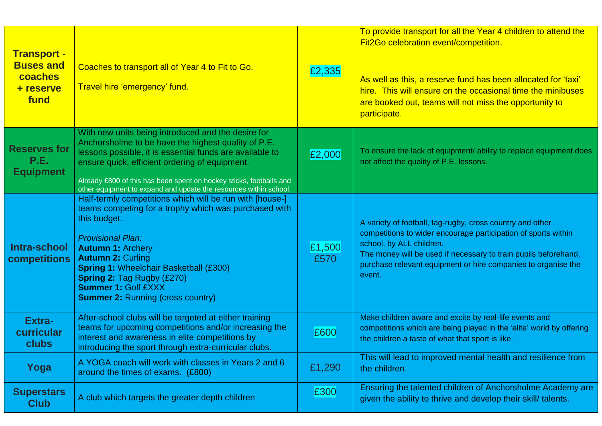| <b>Transport -</b><br><b>Buses and</b><br>coaches<br>+ reserve<br>fund | Coaches to transport all of Year 4 to Fit to Go.<br>Travel hire 'emergency' fund.                                                                                                                                                                                                                                                                                                     | £2,335         | To provide transport for all the Year 4 children to attend the<br>Fit2Go celebration event/competition.<br>As well as this, a reserve fund has been allocated for 'taxi'<br>hire. This will ensure on the occasional time the minibuses<br>are booked out, teams will not miss the opportunity to<br>participate. |
|------------------------------------------------------------------------|---------------------------------------------------------------------------------------------------------------------------------------------------------------------------------------------------------------------------------------------------------------------------------------------------------------------------------------------------------------------------------------|----------------|-------------------------------------------------------------------------------------------------------------------------------------------------------------------------------------------------------------------------------------------------------------------------------------------------------------------|
| <b>Reserves for</b><br>P.E.<br><b>Equipment</b>                        | With new units being introduced and the desire for<br>Anchorsholme to be have the highest quality of P.E.<br>lessons possible, it is essential funds are available to<br>ensure quick, efficient ordering of equipment.<br>Already £800 of this has been spent on hockey sticks, footballs and<br>other equipment to expand and update the resources within school.                   | £2,000         | To ensure the lack of equipment/ ability to replace equipment does<br>not affect the quality of P.E. lessons.                                                                                                                                                                                                     |
| Intra-school<br>competitions                                           | Half-termly competitions which will be run with [house-]<br>teams competing for a trophy which was purchased with<br>this budget.<br><b>Provisional Plan:</b><br><b>Autumn 1: Archery</b><br><b>Autumn 2: Curling</b><br><b>Spring 1: Wheelchair Basketball (£300)</b><br><b>Spring 2: Tag Rugby (£270)</b><br><b>Summer 1: Golf £XXX</b><br><b>Summer 2: Running (cross country)</b> | £1,500<br>£570 | A variety of football, tag-rugby, cross country and other<br>competitions to wider encourage participation of sports within<br>school, by ALL children.<br>The money will be used if necessary to train pupils beforehand,<br>purchase relevant equipment or hire companies to organise the<br>event.             |
| <b>Extra-</b><br>curricular<br>clubs                                   | After-school clubs will be targeted at either training<br>teams for upcoming competitions and/or increasing the<br>interest and awareness in elite competitions by<br>introducing the sport through extra-curricular clubs.                                                                                                                                                           | £600           | Make children aware and excite by real-life events and<br>competitions which are being played in the 'elite' world by offering<br>the children a taste of what that sport is like.                                                                                                                                |
| Yoga                                                                   | A YOGA coach will work with classes in Years 2 and 6<br>around the times of exams. (£800)                                                                                                                                                                                                                                                                                             | £1,290         | This will lead to improved mental health and resilience from<br>the children.                                                                                                                                                                                                                                     |
| <b>Superstars</b><br><b>Club</b>                                       | A club which targets the greater depth children                                                                                                                                                                                                                                                                                                                                       | £300           | Ensuring the talented children of Anchorsholme Academy are<br>given the ability to thrive and develop their skill/ talents.                                                                                                                                                                                       |
|                                                                        |                                                                                                                                                                                                                                                                                                                                                                                       |                |                                                                                                                                                                                                                                                                                                                   |